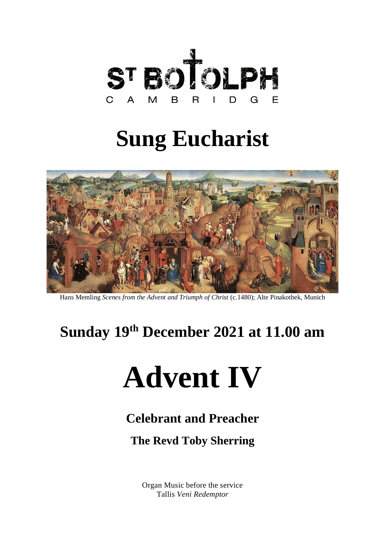

# **Sung Eucharist**



Hans Memling *Scenes from the Advent and Triumph of Christ* (c.1480); Alte Pinakothek, Munich

## **Sunday 19th December 2021 at 11.00 am**

# **Advent IV**

### **Celebrant and Preacher**

### **The Revd Toby Sherring**

Organ Music before the service Tallis *Veni Redemptor*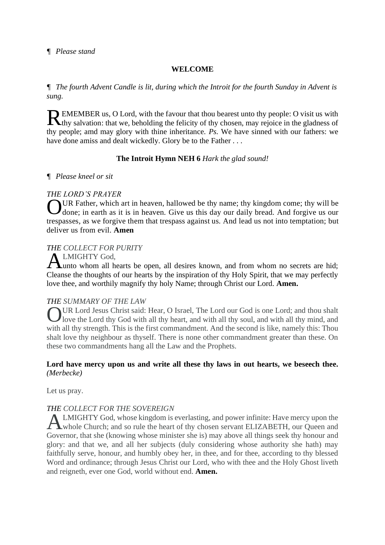#### **WELCOME**

*¶ The fourth Advent Candle is lit, during which the Introit for the fourth Sunday in Advent is sung.*

EMEMBER us, O Lord, with the favour that thou bearest unto thy people: O visit us with REMEMBER us, O Lord, with the favour that thou bearest unto thy people: O visit us with thy salvation: that we, beholding the felicity of thy chosen, may rejoice in the gladness of thy people; amd may glory with thine inheritance. *Ps.* We have sinned with our fathers: we have done amiss and dealt wickedly. Glory be to the Father . . .

#### **The Introit Hymn NEH 6** *Hark the glad sound!*

#### *¶ Please kneel or sit*

#### *THE LORD'S PRAYER*

UR Father, which art in heaven, hallowed be thy name; thy kingdom come; thy will be I done; in earth as it is in heaven. Give us this day our daily bread. And forgive us our trespasses, as we forgive them that trespass against us. And lead us not into temptation; but deliver us from evil. **Amen** O

#### *THE COLLECT FOR PURITY*

LMIGHTY God,

unto whom all hearts be open, all desires known, and from whom no secrets are hid; Cleanse the thoughts of our hearts by the inspiration of thy Holy Spirit, that we may perfectly love thee, and worthily magnify thy holy Name; through Christ our Lord. **Amen.** A

#### *THE SUMMARY OF THE LAW*

OUR Lord Jesus Christ said: Hear, O Israel, The Lord our God is one Lord; and thou shalt love the Lord thy God with all thy heart, and with all thy soul, and with all thy mind, and I love the Lord thy God with all thy heart, and with all thy soul, and with all thy mind, and with all thy strength. This is the first commandment. And the second is like, namely this: Thou shalt love thy neighbour as thyself. There is none other commandment greater than these. On these two commandments hang all the Law and the Prophets.

#### **Lord have mercy upon us and write all these thy laws in out hearts, we beseech thee.** *(Merbecke)*

Let us pray.

#### *THE COLLECT FOR THE SOVEREIGN*

LMIGHTY God, whose kingdom is everlasting, and power infinite: Have mercy upon the whole Church; and so rule the heart of thy chosen servant ELIZABETH, our Queen and Governor, that she (knowing whose minister she is) may above all things seek thy honour and glory: and that we, and all her subjects (duly considering whose authority she hath) may faithfully serve, honour, and humbly obey her, in thee, and for thee, according to thy blessed Word and ordinance; through Jesus Christ our Lord, who with thee and the Holy Ghost liveth and reigneth, ever one God, world without end. **Amen.** A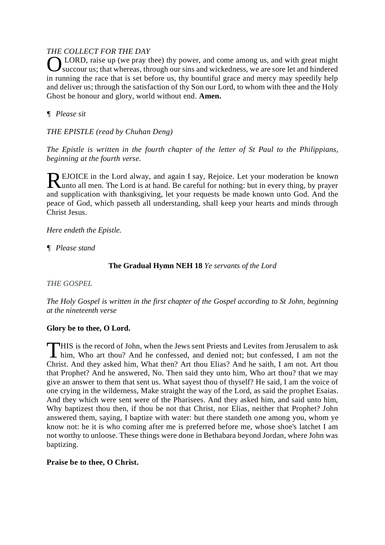#### *THE COLLECT FOR THE DAY*

OLORD, raise up (we pray thee) thy power, and come among us, and with great might succour us; that whereas, through our sins and wickedness, we are sore let and hindered succour us; that whereas, through our sins and wickedness, we are sore let and hindered in running the race that is set before us, thy bountiful grace and mercy may speedily help and deliver us; through the satisfaction of thy Son our Lord, to whom with thee and the Holy Ghost be honour and glory, world without end. **Amen.**

#### *¶ Please sit*

*THE EPISTLE (read by Chuhan Deng)*

*The Epistle is written in the fourth chapter of the letter of St Paul to the Philippians, beginning at the fourth verse.*

EJOICE in the Lord alway, and again I say, Rejoice. Let your moderation be known REJOICE in the Lord alway, and again I say, Rejoice. Let your moderation be known unto all men. The Lord is at hand. Be careful for nothing: but in every thing, by prayer and supplication with thanksgiving, let your requests be made known unto God. And the peace of God, which passeth all understanding, shall keep your hearts and minds through Christ Jesus.

#### *Here endeth the Epistle.*

*¶ Please stand*

#### **The Gradual Hymn NEH 18** *Ye servants of the Lord*

*THE GOSPEL*

*The Holy Gospel is written in the first chapter of the Gospel according to St John, beginning at the nineteenth verse* 

#### **Glory be to thee, O Lord.**

THIS is the record of John, when the Jews sent Priests and Levites from Jerusalem to ask him, Who art thou? And he confessed, and denied not; but confessed, I am not the him, Who art thou? And he confessed, and denied not; but confessed, I am not the Christ. And they asked him, What then? Art thou Elias? And he saith, I am not. Art thou that Prophet? And he answered, No. Then said they unto him, Who art thou? that we may give an answer to them that sent us. What sayest thou of thyself? He said, I am the voice of one crying in the wilderness, Make straight the way of the Lord, as said the prophet Esaias. And they which were sent were of the Pharisees. And they asked him, and said unto him, Why baptizest thou then, if thou be not that Christ, nor Elias, neither that Prophet? John answered them, saying, I baptize with water: but there standeth one among you, whom ye know not: he it is who coming after me is preferred before me, whose shoe's latchet I am not worthy to unloose. These things were done in Bethabara beyond Jordan, where John was baptizing.

#### **Praise be to thee, O Christ.**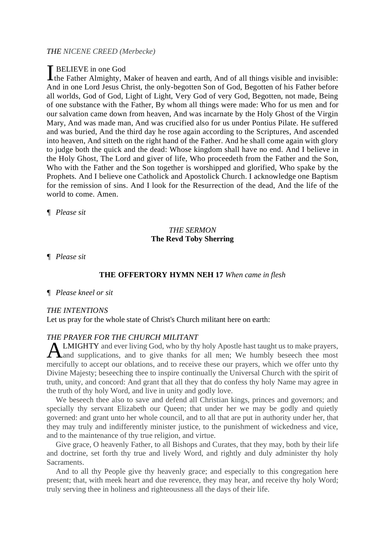#### *THE NICENE CREED (Merbecke)*

#### BELIEVE in one God

I BELIEVE in one God<br>the Father Almighty, Maker of heaven and earth, And of all things visible and invisible: And in one Lord Jesus Christ, the only-begotten Son of God, Begotten of his Father before all worlds, God of God, Light of Light, Very God of very God, Begotten, not made, Being of one substance with the Father, By whom all things were made: Who for us men and for our salvation came down from heaven, And was incarnate by the Holy Ghost of the Virgin Mary, And was made man, And was crucified also for us under Pontius Pilate. He suffered and was buried, And the third day he rose again according to the Scriptures, And ascended into heaven, And sitteth on the right hand of the Father. And he shall come again with glory to judge both the quick and the dead: Whose kingdom shall have no end. And I believe in the Holy Ghost, The Lord and giver of life, Who proceedeth from the Father and the Son, Who with the Father and the Son together is worshipped and glorified, Who spake by the Prophets. And I believe one Catholick and Apostolick Church. I acknowledge one Baptism for the remission of sins. And I look for the Resurrection of the dead, And the life of the world to come. Amen.

*¶ Please sit*

#### *THE SERMON* **The Revd Toby Sherring**

*¶ Please sit*

#### **THE OFFERTORY HYMN NEH 17** *When came in flesh*

#### *¶ Please kneel or sit*

#### *THE INTENTIONS*

Let us pray for the whole state of Christ's Church militant here on earth:

#### *THE PRAYER FOR THE CHURCH MILITANT*

LMIGHTY and ever living God, who by thy holy Apostle hast taught us to make prayers, **ALMIGHTY** and ever living God, who by thy holy Apostle hast taught us to make prayers, and supplications, and to give thanks for all men; We humbly beseech thee most mercifully to accept our oblations, and to receive these our prayers, which we offer unto thy Divine Majesty; beseeching thee to inspire continually the Universal Church with the spirit of truth, unity, and concord: And grant that all they that do confess thy holy Name may agree in the truth of thy holy Word, and live in unity and godly love.

We beseech thee also to save and defend all Christian kings, princes and governors; and specially thy servant Elizabeth our Queen; that under her we may be godly and quietly governed: and grant unto her whole council, and to all that are put in authority under her, that they may truly and indifferently minister justice, to the punishment of wickedness and vice, and to the maintenance of thy true religion, and virtue.

Give grace, O heavenly Father, to all Bishops and Curates, that they may, both by their life and doctrine, set forth thy true and lively Word, and rightly and duly administer thy holy Sacraments.

And to all thy People give thy heavenly grace; and especially to this congregation here present; that, with meek heart and due reverence, they may hear, and receive thy holy Word; truly serving thee in holiness and righteousness all the days of their life.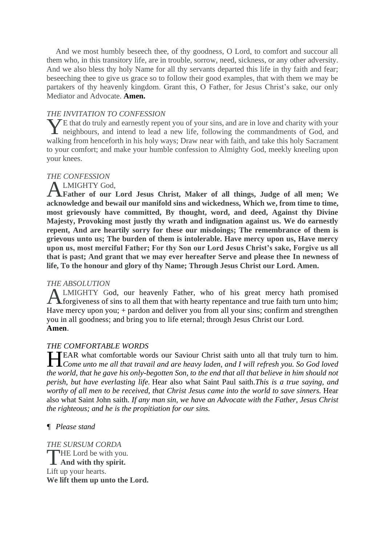And we most humbly beseech thee, of thy goodness, O Lord, to comfort and succour all them who, in this transitory life, are in trouble, sorrow, need, sickness, or any other adversity. And we also bless thy holy Name for all thy servants departed this life in thy faith and fear; beseeching thee to give us grace so to follow their good examples, that with them we may be partakers of thy heavenly kingdom. Grant this, O Father, for Jesus Christ's sake, our only Mediator and Advocate. **Amen.** 

#### *THE INVITATION TO CONFESSION*

 $\bigvee$ E that do truly and earnestly repent you of your sins, and are in love and charity with your The that do truly and earnestly repent you of your sins, and are in love and charity with your neighbours, and intend to lead a new life, following the commandments of God, and walking from henceforth in his holy ways; Draw near with faith, and take this holy Sacrament to your comfort; and make your humble confession to Almighty God, meekly kneeling upon your knees.

#### *THE CONFESSION*

LMIGHTY God,

**Father of our Lord Jesus Christ, Maker of all things, Judge of all men; We acknowledge and bewail our manifold sins and wickedness, Which we, from time to time, most grievously have committed, By thought, word, and deed, Against thy Divine Majesty, Provoking most justly thy wrath and indignation against us. We do earnestly repent, And are heartily sorry for these our misdoings; The remembrance of them is grievous unto us; The burden of them is intolerable. Have mercy upon us, Have mercy upon us, most merciful Father; For thy Son our Lord Jesus Christ's sake, Forgive us all that is past; And grant that we may ever hereafter Serve and please thee In newness of life, To the honour and glory of thy Name; Through Jesus Christ our Lord. Amen.**  A

#### *THE ABSOLUTION*

LMIGHTY God, our heavenly Father, who of his great mercy hath promised **ALMIGHTY** God, our heavenly Father, who of his great mercy hath promised forgiveness of sins to all them that with hearty repentance and true faith turn unto him; Have mercy upon you; + pardon and deliver you from all your sins; confirm and strengthen you in all goodness; and bring you to life eternal; through Jesus Christ our Lord. **Amen**.

#### *THE COMFORTABLE WORDS*

EAR what comfortable words our Saviour Christ saith unto all that truly turn to him. *Come unto me all that travail and are heavy laden, and I will refresh you. So God loved the world, that he gave his only-begotten Son, to the end that all that believe in him should not perish, but have everlasting life.* Hear also what Saint Paul saith.*This is a true saying, and worthy of all men to be received, that Christ Jesus came into the world to save sinners.* Hear also what Saint John saith. *If any man sin, we have an Advocate with the Father, Jesus Christ the righteous; and he is the propitiation for our sins.* H

#### *¶ Please stand*

*THE SURSUM CORDA* HE Lord be with you. THE Lord be with you Lift up your hearts. **We lift them up unto the Lord.**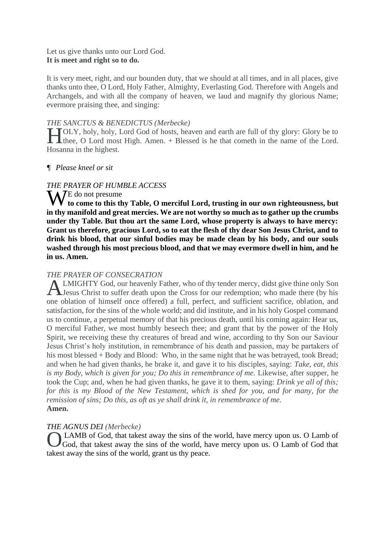#### Let us give thanks unto our Lord God. **It is meet and right so to do.**

It is very meet, right, and our bounden duty, that we should at all times, and in all places, give thanks unto thee, O Lord, Holy Father, Almighty, Everlasting God. Therefore with Angels and Archangels, and with all the company of heaven, we laud and magnify thy glorious Name; evermore praising thee, and singing:

#### *THE SANCTUS & BENEDICTUS (Merbecke)*

TOLY, holy, holy, Lord God of hosts, heaven and earth are full of thy glory: Glory be to TOLY, holy, holy, Lord God of hosts, heaven and earth are full of thy glory: Glory be to thee, O Lord most High. Amen. + Blessed is he that cometh in the name of the Lord. Hosanna in the highest.

#### *¶ Please kneel or sit*

#### *THE PRAYER OF HUMBLE ACCESS*

W<sup>E</sup> do not presume **to come to this thy Table, O merciful Lord, trusting in our own righteousness, but in thy manifold and great mercies. We are not worthy so much as to gather up the crumbs under thy Table. But thou art the same Lord, whose property is always to have mercy: Grant us therefore, gracious Lord, so to eat the flesh of thy dear Son Jesus Christ, and to drink his blood, that our sinful bodies may be made clean by his body, and our souls washed through his most precious blood, and that we may evermore dwell in him, and he in us. Amen.**

#### *THE PRAYER OF CONSECRATION*

LMIGHTY God, our heavenly Father, who of thy tender mercy, didst give thine only Son **ALMIGHTY** God, our heavenly Father, who of thy tender mercy, didst give thine only Son Jesus Christ to suffer death upon the Cross for our redemption; who made there (by his one oblation of himself once offered) a full, perfect, and sufficient sacrifice, oblation, and satisfaction, for the sins of the whole world; and did institute, and in his holy Gospel command us to continue, a perpetual memory of that his precious death, until his coming again: Hear us, O merciful Father, we most humbly beseech thee; and grant that by the power of the Holy Spirit, we receiving these thy creatures of bread and wine, according to thy Son our Saviour Jesus Christ's holy institution, in remembrance of his death and passion, may be partakers of his most blessed + Body and Blood: Who, in the same night that he was betrayed, took Bread; and when he had given thanks, he brake it, and gave it to his disciples, saying: *Take, eat, this is my Body, which is given for you; Do this in remembrance of me. Likewise, after supper, he* took the Cup; and, when he had given thanks, he gave it to them, saying: *Drink ye all of this; for this is my Blood of the New Testament, which is shed for you, and for many, for the remission of sins; Do this, as oft as ye shall drink it, in remembrance of me.* **Amen.**

#### *THE AGNUS DEI (Merbecke)*

LAMB of God, that takest away the sins of the world, have mercy upon us. O Lamb of God, that takest away the sins of the world, have mercy upon us. O Lamb of God that takest away the sins of the world, grant us thy peace. O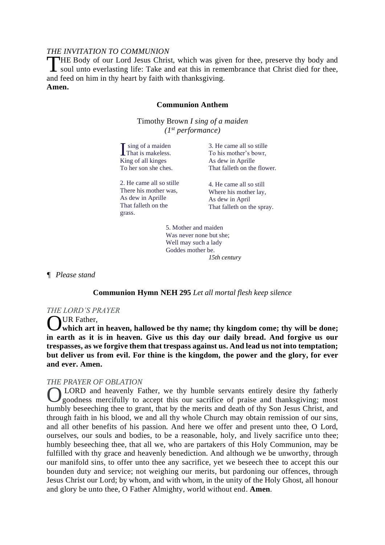#### *THE INVITATION TO COMMUNION*

HE Body of our Lord Jesus Christ, which was given for thee, preserve thy body and THE Body of our Lord Jesus Christ, which was given for thee, preserve thy body and soul unto everlasting life: Take and eat this in remembrance that Christ died for thee, and feed on him in thy heart by faith with thanksgiving. **Amen.**

#### **Communion Anthem**

Timothy Brown *I sing of a maiden (1st performance)*

sing of a maiden That is makeless. If sing of a maider<br>That is makeless<br>King of all kinges To her son she ches. 3. He came all so stille To his mother's bowr, As dew in Aprille That falleth on the flower.

2. He came all so stille There his mother was, As dew in Aprille That falleth on the grass.

4. He came all so still Where his mother lay, As dew in April That falleth on the spray.

5. Mother and maiden Was never none but she; Well may such a lady Goddes mother be. *15th century*

*¶ Please stand*

#### **Communion Hymn NEH 295** *Let all mortal flesh keep silence*

#### *THE LORD'S PRAYER*

UR Father.

**which art in heaven, hallowed be thy name; thy kingdom come; thy will be done; in earth as it is in heaven. Give us this day our daily bread. And forgive us our trespasses, as we forgive them that trespass against us. And lead us not into temptation; but deliver us from evil. For thine is the kingdom, the power and the glory, for ever and ever. Amen.** O

#### *THE PRAYER OF OBLATION*

LORD and heavenly Father, we thy humble servants entirely desire thy fatherly goodness mercifully to accept this our sacrifice of praise and thanksgiving; most humbly beseeching thee to grant, that by the merits and death of thy Son Jesus Christ, and through faith in his blood, we and all thy whole Church may obtain remission of our sins, and all other benefits of his passion. And here we offer and present unto thee, O Lord, ourselves, our souls and bodies, to be a reasonable, holy, and lively sacrifice unto thee; humbly beseeching thee, that all we, who are partakers of this Holy Communion, may be fulfilled with thy grace and heavenly benediction. And although we be unworthy, through our manifold sins, to offer unto thee any sacrifice, yet we beseech thee to accept this our bounden duty and service; not weighing our merits, but pardoning our offences, through Jesus Christ our Lord; by whom, and with whom, in the unity of the Holy Ghost, all honour and glory be unto thee, O Father Almighty, world without end. **Amen**. O